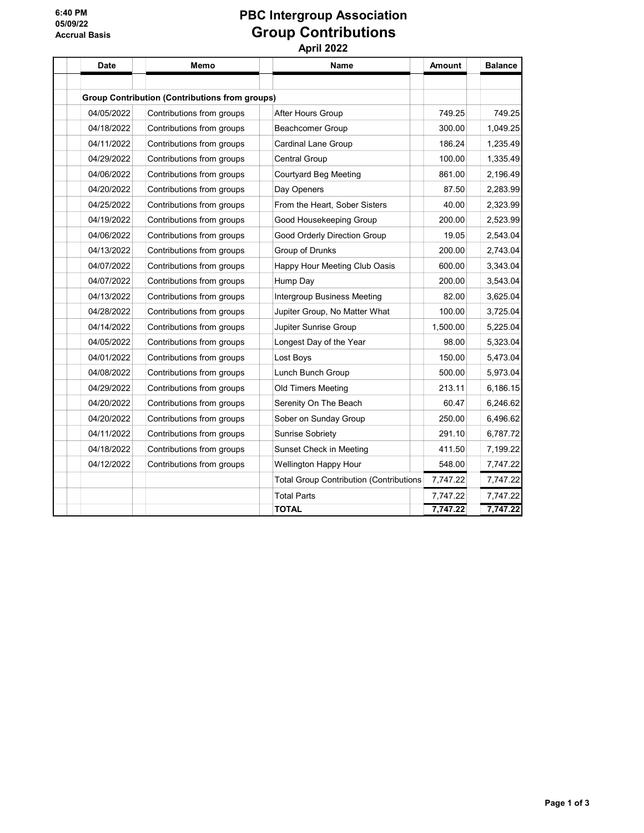## 6:40 PM 05/09/22 Accrual Basis

## PBC Intergroup Association Group Contributions April 2022

Date | Memo | | Name Amount Balance Group Contribution (Contributions from groups) 04/05/2022 Contributions from groups After Hours Group 749.25 749.25 749.25 04/18/2022 Contributions from groups Beachcomer Group 300.00 1,049.25 04/11/2022 Contributions from groups Cardinal Lane Group 186.24 1,235.49 04/29/2022 Contributions from groups Central Group 11.335.49 04/06/2022 Contributions from groups Courtyard Beg Meeting 861.00 2,196.49 04/20/2022 Contributions from groups Day Openers 87.50 87.50 2,283.99 04/25/2022 Contributions from groups From the Heart, Sober Sisters 40.00 2,323.99 04/19/2022 Contributions from groups Good Housekeeping Group 200.00 2,523.99 04/06/2022 Contributions from groups Good Orderly Direction Group 19.05 2,543.04 04/13/2022 Contributions from groups Group of Drunks 200.00 2,743.04 04/07/2022 Contributions from groups Happy Hour Meeting Club Oasis 600.00 3,343.04 04/07/2022 Contributions from groups Hump Day 200.00 3,543.04 04/13/2022 Contributions from groups Intergroup Business Meeting 82.00 3,625.04 04/28/2022 Contributions from groups Jupiter Group, No Matter What 100.00 3,725.04 04/14/2022 Contributions from groups Jupiter Sunrise Group 1,500.00 5,225.04 04/05/2022 Contributions from groups Longest Day of the Year 98.00 5,323.04 04/01/2022 Contributions from groups Lost Boys 150.00 5,473.04 04/08/2022 Contributions from groups Lunch Bunch Group 500.00 5,973.04 04/29/2022 Contributions from groups Old Timers Meeting 213.11 6,186.15 04/20/2022 Contributions from groups Serenity On The Beach 60.47 60.47 6,246.62 04/20/2022 Contributions from groups Sober on Sunday Group 250.00 6,496.62 04/11/2022 Contributions from groups Sunrise Sobriety 291.10 6,787.72 04/18/2022 Contributions from groups Sunset Check in Meeting 111.50 7,199.22 04/12/2022 Contributions from groups Wellington Happy Hour 548.00 7,747.22 Total Group Contribution (Contributions 7,747.22 7,747.22 Total Parts 7,747.22 7,747.22 TOTAL 7,747.22 7,747.22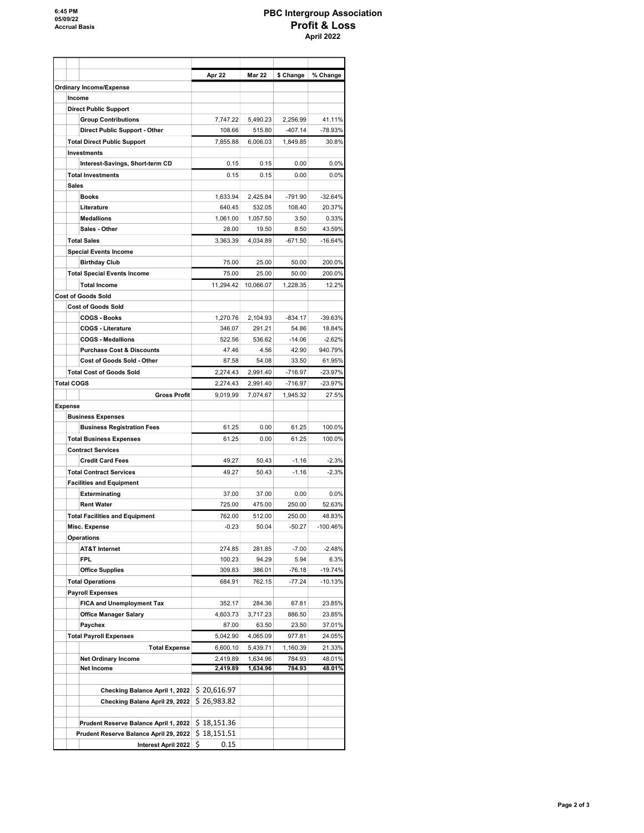## PBC Intergroup Association Profit & Loss April 2022

|                   |                                                    | Apr 22               | <b>Mar 22</b>        | \$ Change          | % Change          |
|-------------------|----------------------------------------------------|----------------------|----------------------|--------------------|-------------------|
|                   | <b>Ordinary Income/Expense</b>                     |                      |                      |                    |                   |
| Income            |                                                    |                      |                      |                    |                   |
|                   | <b>Direct Public Support</b>                       |                      |                      |                    |                   |
|                   | <b>Group Contributions</b>                         | 7,747.22             | 5,490.23             | 2.256.99           | 41.11%            |
|                   | Direct Public Support - Other                      | 108.66               | 515.80               | $-407.14$          | $-78.93%$         |
|                   | <b>Total Direct Public Support</b>                 | 7,855.88             | 6,006.03             | 1,849.85           | 30.8%             |
|                   | <b>Investments</b>                                 |                      |                      |                    |                   |
|                   | Interest-Savings, Short-term CD                    | 0.15                 | 0.15                 | 0.00               | 0.0%              |
|                   | <b>Total Investments</b>                           | 0.15                 | 0.15                 | 0.00               | 0.0%              |
| <b>Sales</b>      |                                                    |                      |                      |                    |                   |
|                   | <b>Books</b>                                       | 1,633.94             | 2,425.84             | $-791.90$          | $-32.64%$         |
|                   | Literature                                         | 640.45               | 532.05               | 108.40             | 20.37%            |
|                   | <b>Medallions</b>                                  | 1,061.00             | 1,057.50             | 3.50               | 0.33%             |
|                   | Sales - Other                                      | 28.00                | 19.50                | 8.50               | 43.59%            |
|                   | <b>Total Sales</b>                                 | 3,363.39             | 4,034.89             | $-671.50$          | $-16.64%$         |
|                   | <b>Special Events Income</b>                       |                      |                      |                    |                   |
|                   | <b>Birthday Club</b>                               | 75.00                | 25.00                | 50.00              | 200.0%            |
|                   | <b>Total Special Events Income</b>                 | 75.00                | 25.00                | 50.00              | 200.0%            |
|                   | <b>Total Income</b>                                | 11,294.42            | 10.066.07            | 1,228.35           | 12.2%             |
|                   | <b>Cost of Goods Sold</b>                          |                      |                      |                    |                   |
|                   | <b>Cost of Goods Sold</b><br><b>COGS - Books</b>   |                      |                      | $-834.17$          |                   |
|                   | <b>COGS - Literature</b>                           | 1,270.76<br>346.07   | 2,104.93<br>291.21   | 54.86              | -39.63%<br>18.84% |
|                   | <b>COGS - Medallions</b>                           | 522.56               | 536.62               | $-14.06$           | $-2.62%$          |
|                   | <b>Purchase Cost &amp; Discounts</b>               | 47.46                | 4.56                 | 42.90              | 940.79%           |
|                   | <b>Cost of Goods Sold - Other</b>                  | 87.58                | 54.08                | 33.50              | 61.95%            |
|                   | <b>Total Cost of Goods Sold</b>                    | 2,274.43             | 2,991.40             | $-716.97$          | $-23.97%$         |
| <b>Total COGS</b> |                                                    | 2,274.43             | 2,991.40             | $-716.97$          | $-23.97%$         |
|                   | <b>Gross Profit</b>                                | 9,019.99             | 7,074.67             | 1,945.32           | 27.5%             |
| Expense           |                                                    |                      |                      |                    |                   |
|                   | <b>Business Expenses</b>                           |                      |                      |                    |                   |
|                   | <b>Business Registration Fees</b>                  | 61.25                | 0.00                 | 61.25              | 100.0%            |
|                   | <b>Total Business Expenses</b>                     | 61.25                | 0.00                 | 61.25              | 100.0%            |
|                   | <b>Contract Services</b>                           |                      |                      |                    |                   |
|                   | <b>Credit Card Fees</b>                            | 49.27                | 50.43                | $-1.16$            | $-2.3%$           |
|                   | <b>Total Contract Services</b>                     | 49.27                | 50.43                | $-1.16$            | $-2.3%$           |
|                   | <b>Facilities and Equipment</b>                    |                      |                      |                    |                   |
|                   | Exterminating                                      | 37.00                | 37.00                | 0.00               | 0.0%              |
|                   | <b>Rent Water</b>                                  | 725.00               | 475.00               | 250.00             | 52.63%            |
|                   | <b>Total Facilities and Equipment</b>              | 762.00               | 512.00               | 250.00             | 48.83%            |
|                   | Misc. Expense                                      | $-0.23$              | 50.04                | $-50.27$           | -100.46%          |
|                   | <b>Operations</b>                                  |                      |                      |                    |                   |
|                   | <b>AT&amp;T Internet</b>                           | 274.85               | 281.85               | $-7.00$            | $-2.48%$          |
|                   | <b>FPL</b>                                         | 100.23               | 94.29                | 5.94               | 6.3%              |
|                   | <b>Office Supplies</b>                             | 309.83               | 386.01               | $-76.18$           | -19.74%           |
|                   | <b>Total Operations</b>                            | 684.91               | 762.15               | $-77.24$           | $-10.13%$         |
|                   | <b>Payroll Expenses</b>                            |                      |                      |                    |                   |
|                   | <b>FICA and Unemployment Tax</b>                   | 352.17               | 284.36               | 67.81              | 23.85%            |
|                   | <b>Office Manager Salary</b>                       | 4,603.73             | 3,717.23             | 886.50             | 23.85%            |
|                   | Paychex                                            | 87.00<br>5,042.90    | 63.50<br>4,065.09    | 23.50<br>977.81    | 37.01%<br>24.05%  |
|                   | <b>Total Payroll Expenses</b>                      |                      |                      |                    | 21.33%            |
|                   | <b>Total Expense</b><br><b>Net Ordinary Income</b> | 6,600.10<br>2,419.89 | 5,439.71<br>1,634.96 | 1,160.39<br>784.93 | 48.01%            |
|                   | Net Income                                         | 2,419.89             | 1,634.96             | 784.93             | 48.01%            |
|                   |                                                    |                      |                      |                    |                   |
|                   | Checking Balance April 1, 2022                     | \$20,616.97          |                      |                    |                   |
|                   | Checking Balane April 29, 2022                     | \$26,983.82          |                      |                    |                   |
|                   |                                                    |                      |                      |                    |                   |
|                   | Prudent Reserve Balance April 1, 2022              | \$18,151.36          |                      |                    |                   |
|                   | Prudent Reserve Balance April 29, 2022             | \$18,151.51          |                      |                    |                   |
|                   | Interest April 2022                                | \$<br>0.15           |                      |                    |                   |